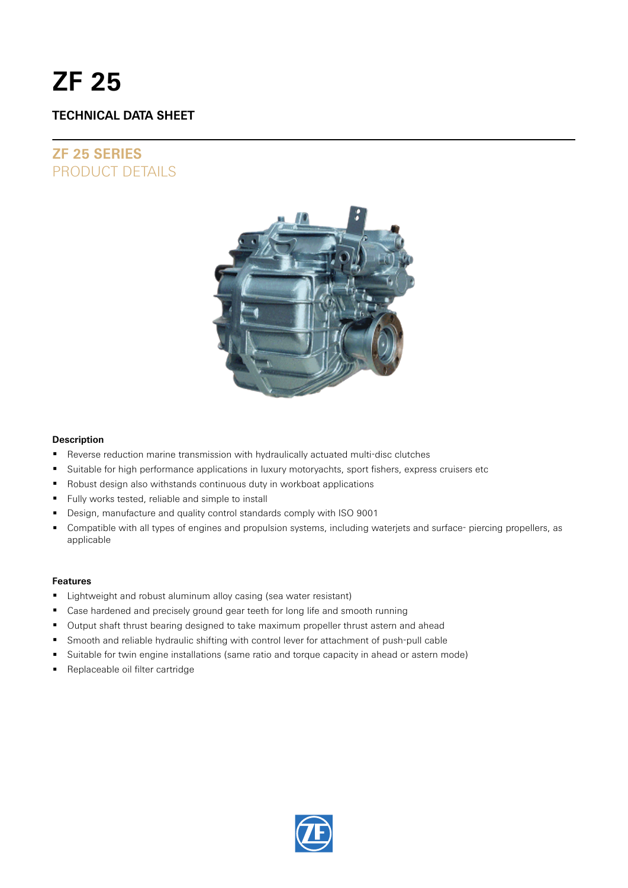# **ZF 25**

# **TECHNICAL DATA SHEET**

# **ZF 25 SERIES** PRODUCT DETAILS



#### **Description**

- Reverse reduction marine transmission with hydraulically actuated multi-disc clutches
- Suitable for high performance applications in luxury motoryachts, sport fishers, express cruisers etc
- Robust design also withstands continuous duty in workboat applications
- Fully works tested, reliable and simple to install
- Design, manufacture and quality control standards comply with ISO 9001
- Compatible with all types of engines and propulsion systems, including waterjets and surface- piercing propellers, as applicable

#### **Features**

- **EXECT** Lightweight and robust aluminum alloy casing (sea water resistant)
- Case hardened and precisely ground gear teeth for long life and smooth running
- Output shaft thrust bearing designed to take maximum propeller thrust astern and ahead
- Smooth and reliable hydraulic shifting with control lever for attachment of push-pull cable
- Suitable for twin engine installations (same ratio and torque capacity in ahead or astern mode)
- Replaceable oil filter cartridge

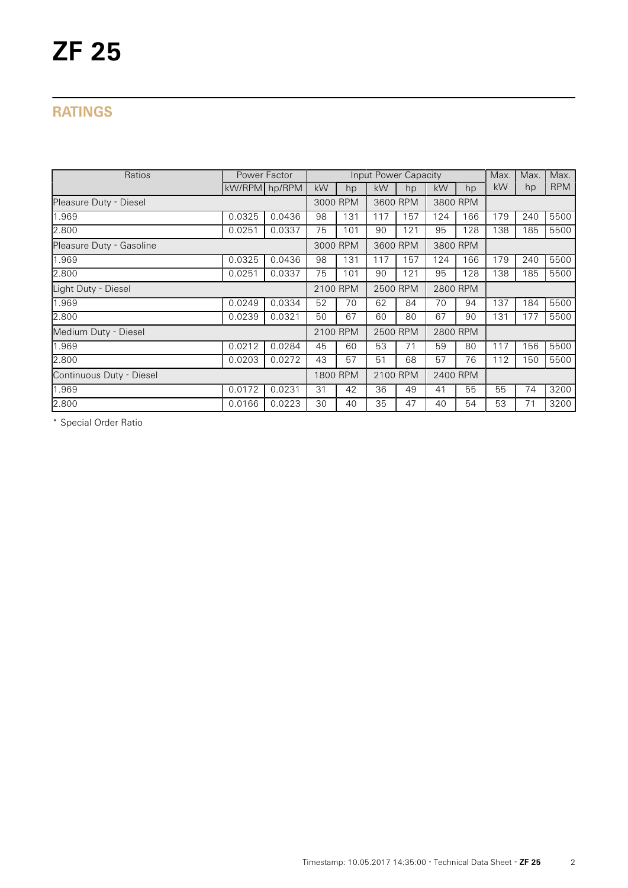# **RATINGS**

| Ratios                   | Power Factor  |        |          |     |          | Input Power Capacity |          |     | Max. | Max. | Max.       |
|--------------------------|---------------|--------|----------|-----|----------|----------------------|----------|-----|------|------|------------|
|                          | kW/RPM hp/RPM |        | kW       | hp  | kW       | hp                   | kW       | hp  | kW   | hp   | <b>RPM</b> |
| Pleasure Duty - Diesel   |               |        | 3000 RPM |     | 3600 RPM |                      | 3800 RPM |     |      |      |            |
| 1.969                    | 0.0325        | 0.0436 | 98       | 131 | 117      | 157                  | 124      | 166 | 179  | 240  | 5500       |
| 2.800                    | 0.0251        | 0.0337 | 75       | 101 | 90       | 121                  | 95       | 128 | 138  | 185  | 5500       |
| Pleasure Duty - Gasoline |               |        | 3000 RPM |     | 3600 RPM |                      | 3800 RPM |     |      |      |            |
| 1.969                    | 0.0325        | 0.0436 | 98       | 131 | 117      | 157                  | 124      | 166 | 179  | 240  | 5500       |
| 2.800                    | 0.0251        | 0.0337 | 75       | 101 | 90       | 121                  | 95       | 128 | 138  | 185  | 5500       |
| Light Duty - Diesel      |               |        | 2100 RPM |     | 2500 RPM |                      | 2800 RPM |     |      |      |            |
| 1.969                    | 0.0249        | 0.0334 | 52       | 70  | 62       | 84                   | 70       | 94  | 137  | 184  | 5500       |
| 2.800                    | 0.0239        | 0.0321 | 50       | 67  | 60       | 80                   | 67       | 90  | 131  | 177  | 5500       |
| Medium Duty - Diesel     |               |        | 2100 RPM |     | 2500 RPM |                      | 2800 RPM |     |      |      |            |
| 1.969                    | 0.0212        | 0.0284 | 45       | 60  | 53       | 71                   | 59       | 80  | 117  | 156  | 5500       |
| 2.800                    | 0.0203        | 0.0272 | 43       | 57  | 51       | 68                   | 57       | 76  | 112  | 150  | 5500       |
| Continuous Duty - Diesel |               |        | 1800 RPM |     | 2100 RPM |                      | 2400 RPM |     |      |      |            |
| 1.969                    | 0.0172        | 0.0231 | 31       | 42  | 36       | 49                   | 41       | 55  | 55   | 74   | 3200       |
| 2.800                    | 0.0166        | 0.0223 | 30       | 40  | 35       | 47                   | 40       | 54  | 53   | 71   | 3200       |

\* Special Order Ratio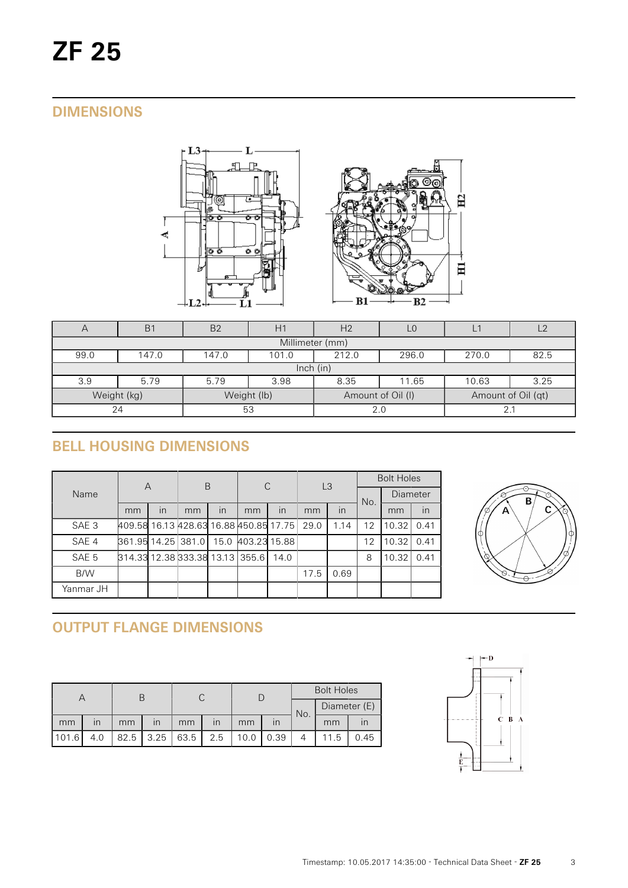# **DIMENSIONS**



| $\overline{A}$  | B <sub>1</sub>                                             | B <sub>2</sub> | H1          | H <sub>2</sub>    |       | 2                  |      |  |  |  |
|-----------------|------------------------------------------------------------|----------------|-------------|-------------------|-------|--------------------|------|--|--|--|
| Millimeter (mm) |                                                            |                |             |                   |       |                    |      |  |  |  |
| 99.0            | 212.0<br>147.0<br>296.0<br>270.0<br>147.0<br>101.0<br>82.5 |                |             |                   |       |                    |      |  |  |  |
| lnch (in)       |                                                            |                |             |                   |       |                    |      |  |  |  |
| 3.9             | 5.79                                                       | 5.79           | 3.98        | 8.35              | 11.65 | 10.63              | 3.25 |  |  |  |
|                 | Weight (kg)                                                |                | Weight (lb) | Amount of Oil (I) |       | Amount of Oil (qt) |      |  |  |  |
| 53<br>24        |                                                            |                | 2.0         |                   |       |                    |      |  |  |  |

# **BELL HOUSING DIMENSIONS**

|                  | A                                      |    | B  |      | C            |      | L <sub>3</sub> |      | <b>Bolt Holes</b> |                 |      |
|------------------|----------------------------------------|----|----|------|--------------|------|----------------|------|-------------------|-----------------|------|
| Name             |                                        |    |    |      |              |      |                |      | No.               | <b>Diameter</b> |      |
|                  | mm                                     | in | mm | in   | mm           | in   | mm             | in   |                   | mm              | in   |
| SAE <sub>3</sub> | 409.58 16.13 428.63 16.88 450.85 17.75 |    |    |      |              |      | 29.0           | 1.14 | $12 \overline{ }$ | 10.32           | 0.41 |
| SAE 4            | 861.95 14.25 381.0                     |    |    | 15.0 | 403.23 15.88 |      |                |      | 12                | 10.32           | 0.41 |
| SAE 5            | 814.33 12.38 333.38 13.13 355.6        |    |    |      |              | 14.0 |                |      | 8                 | 10.32           | 0.41 |
| B/W              |                                        |    |    |      |              |      | 17.5           | 0.69 |                   |                 |      |
| Yanmar JH        |                                        |    |    |      |              |      |                |      |                   |                 |      |



# **OUTPUT FLANGE DIMENSIONS**

|       |     |      |                         |    |                         |      |      | <b>Bolt Holes</b> |              |      |  |
|-------|-----|------|-------------------------|----|-------------------------|------|------|-------------------|--------------|------|--|
|       |     |      |                         |    |                         | No.  |      |                   | Diameter (E) |      |  |
| mm    | ın  | mm   | $\overline{\mathsf{I}}$ | mm | $\overline{\mathsf{I}}$ | mm   |      |                   | mm           |      |  |
| 101.6 | 4.0 | 82.5 | $3.25 \mid 63.5$        |    | 2.5                     | 10.0 | 0.39 |                   | 11.5         | 0.45 |  |